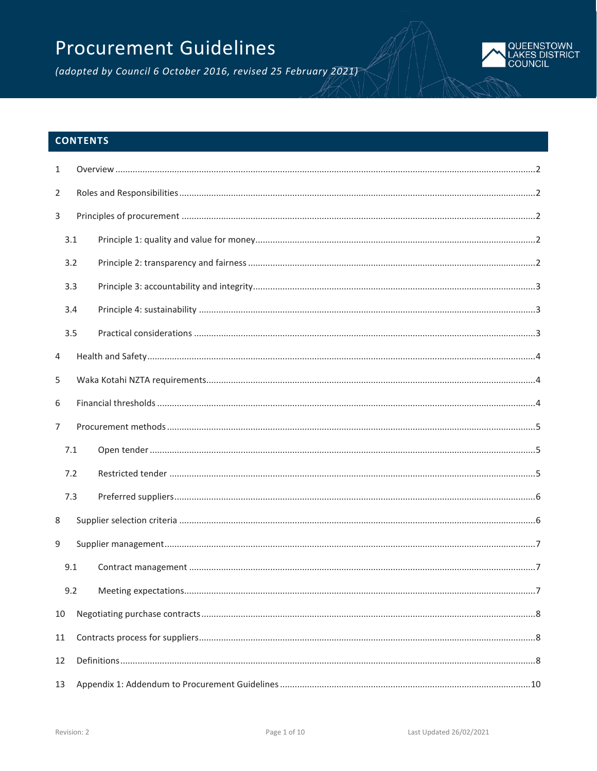# **Procurement Guidelines**

(adopted by Council 6 October 2016, revised 25 February 2021)



# **CONTENTS**

| $\mathbf{1}$   |     |  |  |
|----------------|-----|--|--|
| $\overline{2}$ |     |  |  |
| 3              |     |  |  |
|                | 3.1 |  |  |
|                | 3.2 |  |  |
|                | 3.3 |  |  |
|                | 3.4 |  |  |
|                | 3.5 |  |  |
| 4              |     |  |  |
| 5              |     |  |  |
| 6              |     |  |  |
| $\overline{7}$ |     |  |  |
|                | 7.1 |  |  |
|                | 7.2 |  |  |
|                | 7.3 |  |  |
| 8              |     |  |  |
| 9              |     |  |  |
|                | 9.1 |  |  |
|                | 9.2 |  |  |
| 10             |     |  |  |
| 11             |     |  |  |
| 12             |     |  |  |
| 13             |     |  |  |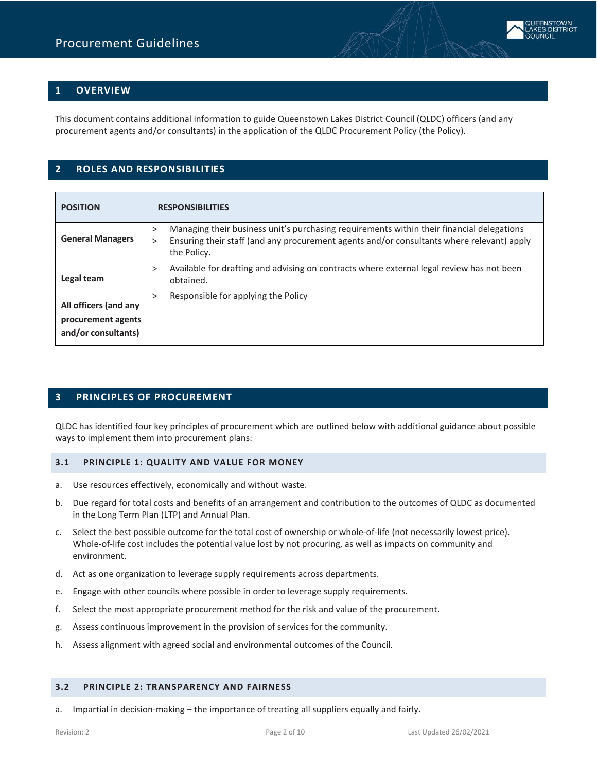# <span id="page-1-0"></span>**1 OVERVIEW**

<span id="page-1-1"></span>This document contains additional information to guide Queenstown Lakes District Council (QLDC) officers (and any procurement agents and/or consultants) in the application of the QLDC Procurement Policy (the Policy).

## **2 ROLES AND RESPONSIBILITIES**

| <b>POSITION</b>                                                    | <b>RESPONSIBILITIES</b>                                                                                                                                                                               |  |  |  |
|--------------------------------------------------------------------|-------------------------------------------------------------------------------------------------------------------------------------------------------------------------------------------------------|--|--|--|
| <b>General Managers</b>                                            | Managing their business unit's purchasing requirements within their financial delegations<br>Ensuring their staff (and any procurement agents and/or consultants where relevant) apply<br>the Policy. |  |  |  |
| Legal team                                                         | Available for drafting and advising on contracts where external legal review has not been<br>obtained.                                                                                                |  |  |  |
| All officers (and any<br>procurement agents<br>and/or consultants) | Responsible for applying the Policy                                                                                                                                                                   |  |  |  |

## <span id="page-1-2"></span>**3 PRINCIPLES OF PROCUREMENT**

QLDC has identified four key principles of procurement which are outlined below with additional guidance about possible ways to implement them into procurement plans:

#### <span id="page-1-3"></span>**3.1 PRINCIPLE 1: QUALITY AND VALUE FOR MONEY**

- a. Use resources effectively, economically and without waste.
- b. Due regard for total costs and benefits of an arrangement and contribution to the outcomes of QLDC as documented in the Long Term Plan (LTP) and Annual Plan.
- c. Select the best possible outcome for the total cost of ownership or whole-of-life (not necessarily lowest price). Whole-of-life cost includes the potential value lost by not procuring, as well as impacts on community and environment.
- d. Act as one organization to leverage supply requirements across departments.
- e. Engage with other councils where possible in order to leverage supply requirements.
- f. Select the most appropriate procurement method for the risk and value of the procurement.
- g. Assess continuous improvement in the provision of services for the community.
- h. Assess alignment with agreed social and environmental outcomes of the Council.

## <span id="page-1-4"></span>**3.2 PRINCIPLE 2: TRANSPARENCY AND FAIRNESS**

a. Impartial in decision-making – the importance of treating all suppliers equally and fairly.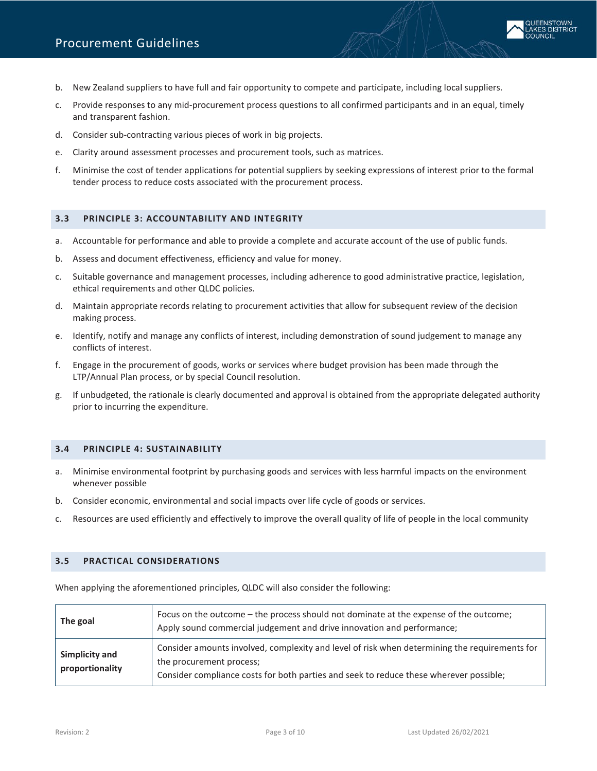- b. New Zealand suppliers to have full and fair opportunity to compete and participate, including local suppliers.
- c. Provide responses to any mid-procurement process questions to all confirmed participants and in an equal, timely and transparent fashion.
- d. Consider sub-contracting various pieces of work in big projects.
- e. Clarity around assessment processes and procurement tools, such as matrices.
- f. Minimise the cost of tender applications for potential suppliers by seeking expressions of interest prior to the formal tender process to reduce costs associated with the procurement process.

#### <span id="page-2-0"></span>**3.3 PRINCIPLE 3: ACCOUNTABILITY AND INTEGRITY**

- a. Accountable for performance and able to provide a complete and accurate account of the use of public funds.
- b. Assess and document effectiveness, efficiency and value for money.
- c. Suitable governance and management processes, including adherence to good administrative practice, legislation, ethical requirements and other QLDC policies.
- d. Maintain appropriate records relating to procurement activities that allow for subsequent review of the decision making process.
- e. Identify, notify and manage any conflicts of interest, including demonstration of sound judgement to manage any conflicts of interest.
- f. Engage in the procurement of goods, works or services where budget provision has been made through the LTP/Annual Plan process, or by special Council resolution.
- g. If unbudgeted, the rationale is clearly documented and approval is obtained from the appropriate delegated authority prior to incurring the expenditure.

#### <span id="page-2-1"></span>**3.4 PRINCIPLE 4: SUSTAINABILITY**

- a. Minimise environmental footprint by purchasing goods and services with less harmful impacts on the environment whenever possible
- b. Consider economic, environmental and social impacts over life cycle of goods or services.
- c. Resources are used efficiently and effectively to improve the overall quality of life of people in the local community

### <span id="page-2-2"></span>**3.5 PRACTICAL CONSIDERATIONS**

When applying the aforementioned principles, QLDC will also consider the following:

| The goal                          | Focus on the outcome – the process should not dominate at the expense of the outcome;<br>Apply sound commercial judgement and drive innovation and performance;                                                     |  |
|-----------------------------------|---------------------------------------------------------------------------------------------------------------------------------------------------------------------------------------------------------------------|--|
| Simplicity and<br>proportionality | Consider amounts involved, complexity and level of risk when determining the requirements for<br>the procurement process;<br>Consider compliance costs for both parties and seek to reduce these wherever possible; |  |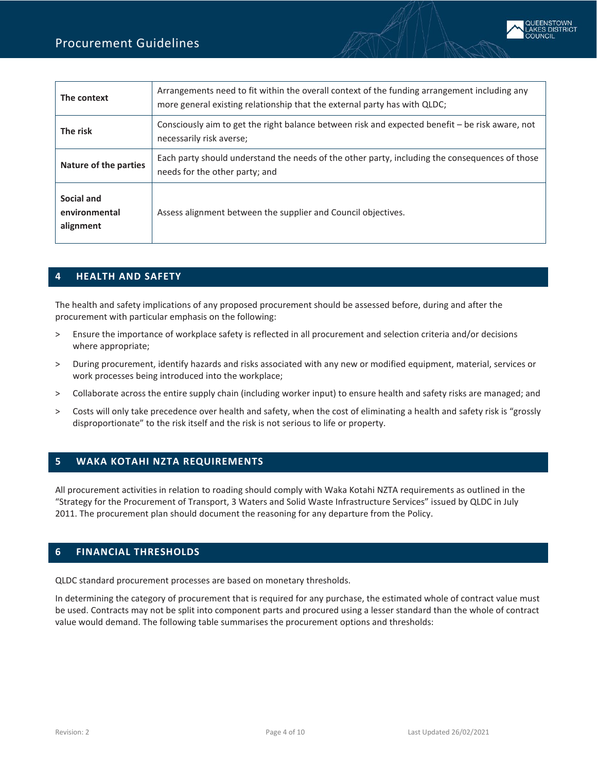| The context                              | Arrangements need to fit within the overall context of the funding arrangement including any<br>more general existing relationship that the external party has with QLDC; |  |
|------------------------------------------|---------------------------------------------------------------------------------------------------------------------------------------------------------------------------|--|
| The risk                                 | Consciously aim to get the right balance between risk and expected benefit - be risk aware, not<br>necessarily risk averse;                                               |  |
| <b>Nature of the parties</b>             | Each party should understand the needs of the other party, including the consequences of those<br>needs for the other party; and                                          |  |
| Social and<br>environmental<br>alignment | Assess alignment between the supplier and Council objectives.                                                                                                             |  |

## <span id="page-3-0"></span>**4 HEALTH AND SAFETY**

The health and safety implications of any proposed procurement should be assessed before, during and after the procurement with particular emphasis on the following:

- > Ensure the importance of workplace safety is reflected in all procurement and selection criteria and/or decisions where appropriate;
- > During procurement, identify hazards and risks associated with any new or modified equipment, material, services or work processes being introduced into the workplace;
- > Collaborate across the entire supply chain (including worker input) to ensure health and safety risks are managed; and
- <span id="page-3-1"></span>> Costs will only take precedence over health and safety, when the cost of eliminating a health and safety risk is "grossly disproportionate" to the risk itself and the risk is not serious to life or property.

# **5 WAKA KOTAHI NZTA REQUIREMENTS**

All procurement activities in relation to roading should comply with Waka Kotahi NZTA requirements as outlined in the "Strategy for the Procurement of Transport, 3 Waters and Solid Waste Infrastructure Services" issued by QLDC in July 2011. The procurement plan should document the reasoning for any departure from the Policy.

# <span id="page-3-2"></span>**6 FINANCIAL THRESHOLDS**

QLDC standard procurement processes are based on monetary thresholds.

In determining the category of procurement that is required for any purchase, the estimated whole of contract value must be used. Contracts may not be split into component parts and procured using a lesser standard than the whole of contract value would demand. The following table summarises the procurement options and thresholds: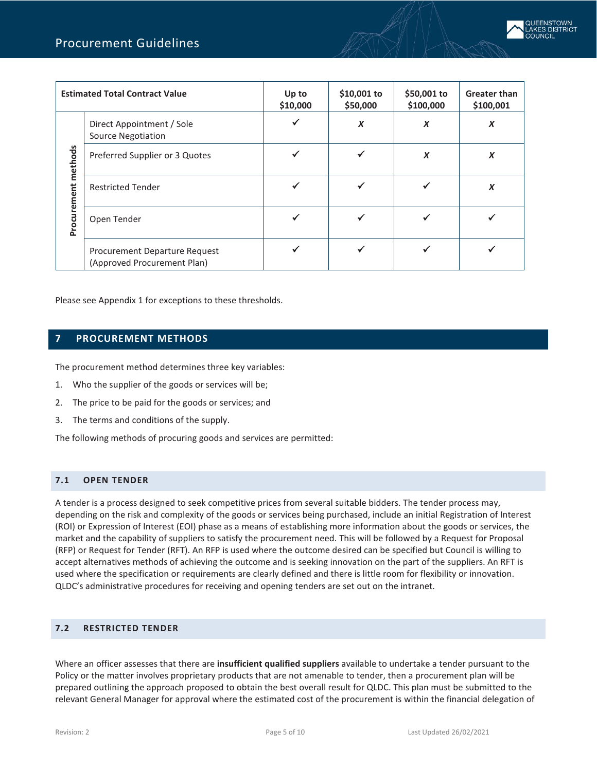|             | <b>Estimated Total Contract Value</b>                        | Up to<br>\$10,000 | \$10,001 to<br>\$50,000 | \$50,001 to<br>\$100,000 | <b>Greater than</b><br>\$100,001 |
|-------------|--------------------------------------------------------------|-------------------|-------------------------|--------------------------|----------------------------------|
|             | Direct Appointment / Sole<br><b>Source Negotiation</b>       |                   | $\boldsymbol{X}$        | X                        | X                                |
| methods     | Preferred Supplier or 3 Quotes                               |                   |                         | $\boldsymbol{X}$         | X                                |
|             | <b>Restricted Tender</b>                                     |                   |                         |                          | X                                |
| Procurement | Open Tender                                                  |                   | ✓                       |                          |                                  |
|             | Procurement Departure Request<br>(Approved Procurement Plan) |                   | ✔                       | √                        |                                  |

<span id="page-4-0"></span>Please see Appendix 1 for exceptions to these thresholds.

# **7 PROCUREMENT METHODS**

The procurement method determines three key variables:

- 1. Who the supplier of the goods or services will be;
- 2. The price to be paid for the goods or services; and
- 3. The terms and conditions of the supply.

The following methods of procuring goods and services are permitted:

## <span id="page-4-1"></span>**7.1 OPEN TENDER**

A tender is a process designed to seek competitive prices from several suitable bidders. The tender process may, depending on the risk and complexity of the goods or services being purchased, include an initial Registration of Interest (ROI) or Expression of Interest (EOI) phase as a means of establishing more information about the goods or services, the market and the capability of suppliers to satisfy the procurement need. This will be followed by a Request for Proposal (RFP) or Request for Tender (RFT). An RFP is used where the outcome desired can be specified but Council is willing to accept alternatives methods of achieving the outcome and is seeking innovation on the part of the suppliers. An RFT is used where the specification or requirements are clearly defined and there is little room for flexibility or innovation. QLDC's administrative procedures for receiving and opening tenders are set out on the intranet.

## <span id="page-4-2"></span>**7.2 RESTRICTED TENDER**

Where an officer assesses that there are **insufficient qualified suppliers** available to undertake a tender pursuant to the Policy or the matter involves proprietary products that are not amenable to tender, then a procurement plan will be prepared outlining the approach proposed to obtain the best overall result for QLDC. This plan must be submitted to the relevant General Manager for approval where the estimated cost of the procurement is within the financial delegation of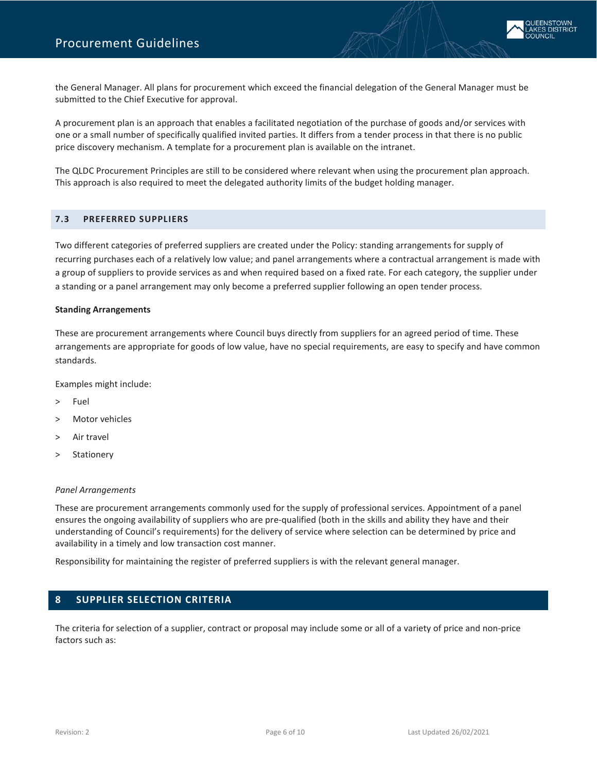the General Manager. All plans for procurement which exceed the financial delegation of the General Manager must be submitted to the Chief Executive for approval.

A procurement plan is an approach that enables a facilitated negotiation of the purchase of goods and/or services with one or a small number of specifically qualified invited parties. It differs from a tender process in that there is no public price discovery mechanism. A template for a procurement plan is available on the intranet.

The QLDC Procurement Principles are still to be considered where relevant when using the procurement plan approach. This approach is also required to meet the delegated authority limits of the budget holding manager.

#### <span id="page-5-0"></span>**7.3 PREFERRED SUPPLIERS**

Two different categories of preferred suppliers are created under the Policy: standing arrangements for supply of recurring purchases each of a relatively low value; and panel arrangements where a contractual arrangement is made with a group of suppliers to provide services as and when required based on a fixed rate. For each category, the supplier under a standing or a panel arrangement may only become a preferred supplier following an open tender process.

#### **Standing Arrangements**

These are procurement arrangements where Council buys directly from suppliers for an agreed period of time. These arrangements are appropriate for goods of low value, have no special requirements, are easy to specify and have common standards.

Examples might include:

- > Fuel
- > Motor vehicles
- > Air travel
- Stationery

#### *Panel Arrangements*

These are procurement arrangements commonly used for the supply of professional services. Appointment of a panel ensures the ongoing availability of suppliers who are pre-qualified (both in the skills and ability they have and their understanding of Council's requirements) for the delivery of service where selection can be determined by price and availability in a timely and low transaction cost manner.

<span id="page-5-1"></span>Responsibility for maintaining the register of preferred suppliers is with the relevant general manager.

## **8 SUPPLIER SELECTION CRITERIA**

The criteria for selection of a supplier, contract or proposal may include some or all of a variety of price and non-price factors such as: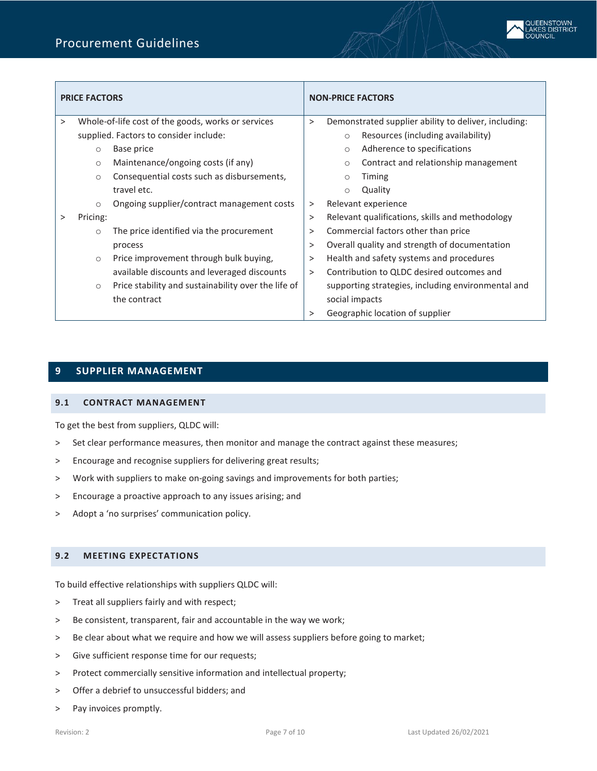

|          | <b>PRICE FACTORS</b>                                           | <b>NON-PRICE FACTORS</b>                                  |  |  |
|----------|----------------------------------------------------------------|-----------------------------------------------------------|--|--|
| $\geq$   | Whole-of-life cost of the goods, works or services             | Demonstrated supplier ability to deliver, including:<br>> |  |  |
|          | supplied. Factors to consider include:                         | Resources (including availability)<br>$\circ$             |  |  |
|          | Base price<br>$\circ$                                          | Adherence to specifications<br>$\circ$                    |  |  |
|          | Maintenance/ongoing costs (if any)<br>$\circ$                  | Contract and relationship management<br>$\circ$           |  |  |
|          | Consequential costs such as disbursements,<br>$\circ$          | <b>Timing</b><br>$\circ$                                  |  |  |
|          | travel etc.                                                    | Quality<br>$\circ$                                        |  |  |
|          | Ongoing supplier/contract management costs<br>$\circ$          | Relevant experience<br>>                                  |  |  |
| $\rm{>}$ | Pricing:                                                       | Relevant qualifications, skills and methodology<br>$\geq$ |  |  |
|          | The price identified via the procurement<br>$\circ$            | Commercial factors other than price<br>>                  |  |  |
|          | process                                                        | Overall quality and strength of documentation<br>>        |  |  |
|          | Price improvement through bulk buying,<br>$\circ$              | Health and safety systems and procedures<br>>             |  |  |
|          | available discounts and leveraged discounts                    | Contribution to QLDC desired outcomes and<br>$\geq$       |  |  |
|          | Price stability and sustainability over the life of<br>$\circ$ | supporting strategies, including environmental and        |  |  |
|          | the contract                                                   | social impacts                                            |  |  |
|          |                                                                | Geographic location of supplier<br>>                      |  |  |

# <span id="page-6-0"></span>**9 SUPPLIER MANAGEMENT**

#### <span id="page-6-1"></span>**9.1 CONTRACT MANAGEMENT**

To get the best from suppliers, QLDC will:

- > Set clear performance measures, then monitor and manage the contract against these measures;
- > Encourage and recognise suppliers for delivering great results;
- > Work with suppliers to make on-going savings and improvements for both parties;
- > Encourage a proactive approach to any issues arising; and
- > Adopt a 'no surprises' communication policy.

#### <span id="page-6-2"></span>**9.2 MEETING EXPECTATIONS**

To build effective relationships with suppliers QLDC will:

- > Treat all suppliers fairly and with respect;
- > Be consistent, transparent, fair and accountable in the way we work;
- > Be clear about what we require and how we will assess suppliers before going to market;
- > Give sufficient response time for our requests;
- > Protect commercially sensitive information and intellectual property;
- > Offer a debrief to unsuccessful bidders; and
- > Pay invoices promptly.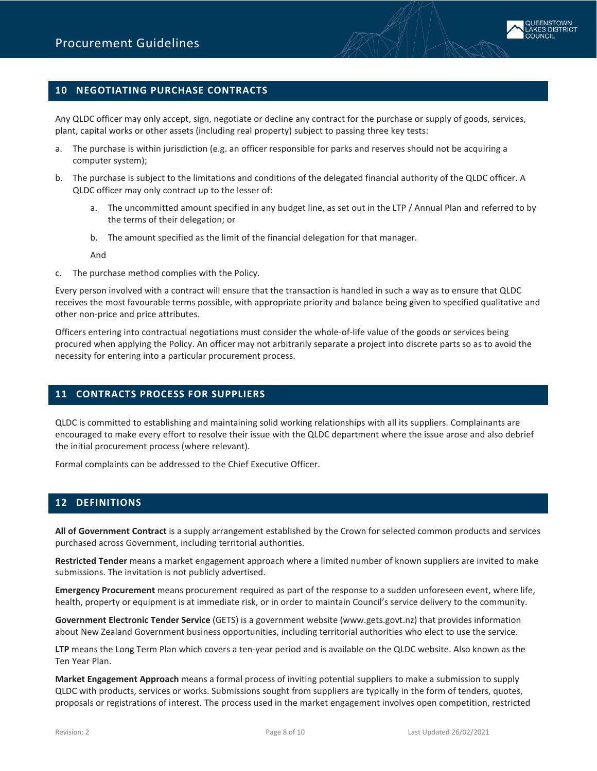

# <span id="page-7-0"></span>**10 NEGOTIATING PURCHASE CONTRACTS**

Any QLDC officer may only accept, sign, negotiate or decline any contract for the purchase or supply of goods, services, plant, capital works or other assets (including real property) subject to passing three key tests:

- a. The purchase is within jurisdiction (e.g. an officer responsible for parks and reserves should not be acquiring a computer system);
- b. The purchase is subject to the limitations and conditions of the delegated financial authority of the QLDC officer. A QLDC officer may only contract up to the lesser of:
	- a. The uncommitted amount specified in any budget line, as set out in the LTP / Annual Plan and referred to by the terms of their delegation; or
	- b. The amount specified as the limit of the financial delegation for that manager.

And

c. The purchase method complies with the Policy.

Every person involved with a contract will ensure that the transaction is handled in such a way as to ensure that QLDC receives the most favourable terms possible, with appropriate priority and balance being given to specified qualitative and other non-price and price attributes.

Officers entering into contractual negotiations must consider the whole-of-life value of the goods or services being procured when applying the Policy. An officer may not arbitrarily separate a project into discrete parts so as to avoid the necessity for entering into a particular procurement process.

## <span id="page-7-1"></span>**11 CONTRACTS PROCESS FOR SUPPLIERS**

QLDC is committed to establishing and maintaining solid working relationships with all its suppliers. Complainants are encouraged to make every effort to resolve their issue with the QLDC department where the issue arose and also debrief the initial procurement process (where relevant).

<span id="page-7-2"></span>Formal complaints can be addressed to the Chief Executive Officer.

## **12 DEFINITIONS**

**All of Government Contract** is a supply arrangement established by the Crown for selected common products and services purchased across Government, including territorial authorities.

**Restricted Tender** means a market engagement approach where a limited number of known suppliers are invited to make submissions. The invitation is not publicly advertised.

**Emergency Procurement** means procurement required as part of the response to a sudden unforeseen event, where life, health, property or equipment is at immediate risk, or in order to maintain Council's service delivery to the community.

**Government Electronic Tender Service** (GETS) is a government website (www.gets.govt.nz) that provides information about New Zealand Government business opportunities, including territorial authorities who elect to use the service.

**LTP** means the Long Term Plan which covers a ten-year period and is available on the QLDC website. Also known as the Ten Year Plan.

**Market Engagement Approach** means a formal process of inviting potential suppliers to make a submission to supply QLDC with products, services or works. Submissions sought from suppliers are typically in the form of tenders, quotes, proposals or registrations of interest. The process used in the market engagement involves open competition, restricted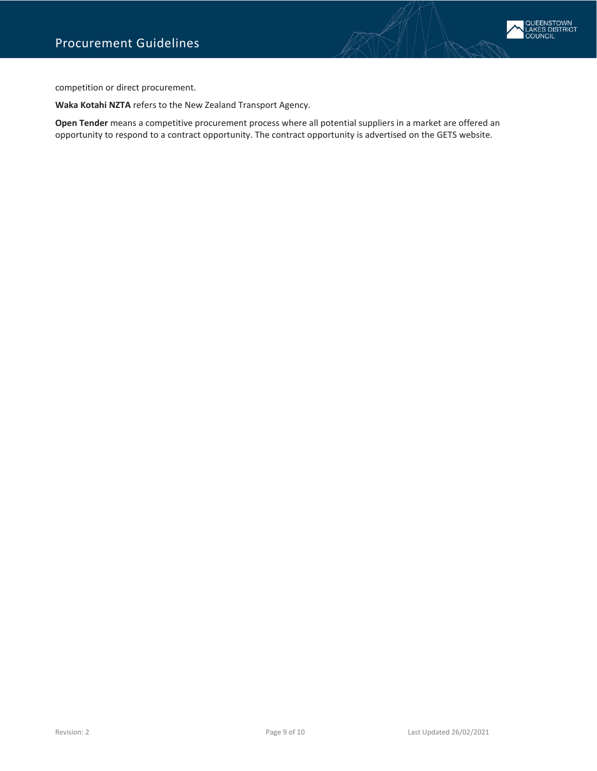

competition or direct procurement.

**Waka Kotahi NZTA** refers to the New Zealand Transport Agency.

**Open Tender** means a competitive procurement process where all potential suppliers in a market are offered an opportunity to respond to a contract opportunity. The contract opportunity is advertised on the GETS website.